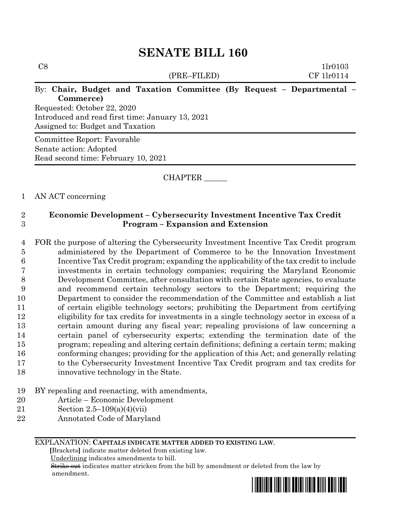# $C8$  1lr0103 (PRE–FILED) CF 1lr0114 By: **Chair, Budget and Taxation Committee (By Request – Departmental – Commerce)** Requested: October 22, 2020 Introduced and read first time: January 13, 2021 Assigned to: Budget and Taxation Committee Report: Favorable Senate action: Adopted Read second time: February 10, 2021

# CHAPTER \_\_\_\_\_\_

# 1 AN ACT concerning

# 2 **Economic Development – Cybersecurity Investment Incentive Tax Credit**  3 **Program – Expansion and Extension**

- 4 FOR the purpose of altering the Cybersecurity Investment Incentive Tax Credit program 5 administered by the Department of Commerce to be the Innovation Investment 6 Incentive Tax Credit program; expanding the applicability of the tax credit to include 7 investments in certain technology companies; requiring the Maryland Economic 8 Development Committee, after consultation with certain State agencies, to evaluate 9 and recommend certain technology sectors to the Department; requiring the 10 Department to consider the recommendation of the Committee and establish a list 11 of certain eligible technology sectors; prohibiting the Department from certifying 12 eligibility for tax credits for investments in a single technology sector in excess of a 13 certain amount during any fiscal year; repealing provisions of law concerning a 14 certain panel of cybersecurity experts; extending the termination date of the 15 program; repealing and altering certain definitions; defining a certain term; making 16 conforming changes; providing for the application of this Act; and generally relating 17 to the Cybersecurity Investment Incentive Tax Credit program and tax credits for 18 innovative technology in the State.
- 19 BY repealing and reenacting, with amendments,
- 20 Article Economic Development
- 21 Section 2.5–109(a)(4)(vii)
- 22 Annotated Code of Maryland

### EXPLANATION: **CAPITALS INDICATE MATTER ADDED TO EXISTING LAW**.

 **[**Brackets**]** indicate matter deleted from existing law.

Underlining indicates amendments to bill.

 Strike out indicates matter stricken from the bill by amendment or deleted from the law by amendment.

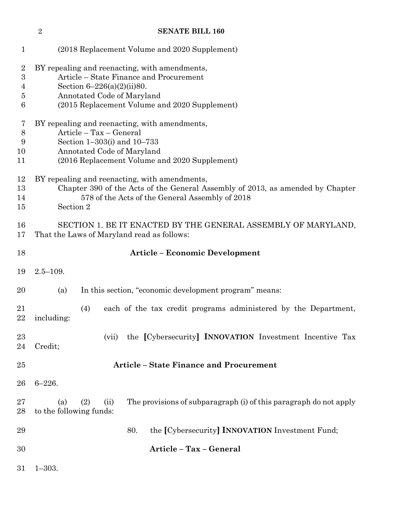|                                    | $\overline{2}$                                                                                                                                                                                  | <b>SENATE BILL 160</b>                                                                   |
|------------------------------------|-------------------------------------------------------------------------------------------------------------------------------------------------------------------------------------------------|------------------------------------------------------------------------------------------|
| $\mathbf{1}$                       |                                                                                                                                                                                                 | (2018 Replacement Volume and 2020 Supplement)                                            |
| $\overline{2}$<br>3<br>4<br>5<br>6 | BY repealing and reenacting, with amendments,<br>Section $6-226(a)(2)(ii)80$ .<br>Annotated Code of Maryland                                                                                    | Article - State Finance and Procurement<br>(2015 Replacement Volume and 2020 Supplement) |
| 7<br>8<br>9<br>10                  | BY repealing and reenacting, with amendments,<br>Article - Tax - General<br>Section 1-303(i) and 10-733                                                                                         |                                                                                          |
| 11                                 | Annotated Code of Maryland<br>(2016 Replacement Volume and 2020 Supplement)                                                                                                                     |                                                                                          |
| 12<br>13<br>14<br>15               | BY repealing and reenacting, with amendments,<br>Chapter 390 of the Acts of the General Assembly of 2013, as amended by Chapter<br>578 of the Acts of the General Assembly of 2018<br>Section 2 |                                                                                          |
| 16                                 | SECTION 1. BE IT ENACTED BY THE GENERAL ASSEMBLY OF MARYLAND,                                                                                                                                   |                                                                                          |
| 17                                 | That the Laws of Maryland read as follows:                                                                                                                                                      |                                                                                          |
| 18                                 |                                                                                                                                                                                                 | <b>Article - Economic Development</b>                                                    |
| 19                                 | $2.5 - 109.$                                                                                                                                                                                    |                                                                                          |
| 20                                 | (a)                                                                                                                                                                                             | In this section, "economic development program" means:                                   |
| 21<br>22                           | (4)<br>including:                                                                                                                                                                               | each of the tax credit programs administered by the Department,                          |
| 23<br>24                           | (vii)<br>Credit;                                                                                                                                                                                | the [Cybersecurity] INNOVATION Investment Incentive Tax                                  |
| 25                                 |                                                                                                                                                                                                 | <b>Article - State Finance and Procurement</b>                                           |
| 26                                 | $6 - 226.$                                                                                                                                                                                      |                                                                                          |
| $27\,$<br>28                       | (2)<br>(a)<br>(ii)<br>to the following funds:                                                                                                                                                   | The provisions of subparagraph (i) of this paragraph do not apply                        |
| 29                                 |                                                                                                                                                                                                 | the [Cybersecurity] <b>INNOVATION</b> Investment Fund;<br>80.                            |
| 30                                 |                                                                                                                                                                                                 | Article - Tax - General                                                                  |
| $31\,$                             | $1 - 303.$                                                                                                                                                                                      |                                                                                          |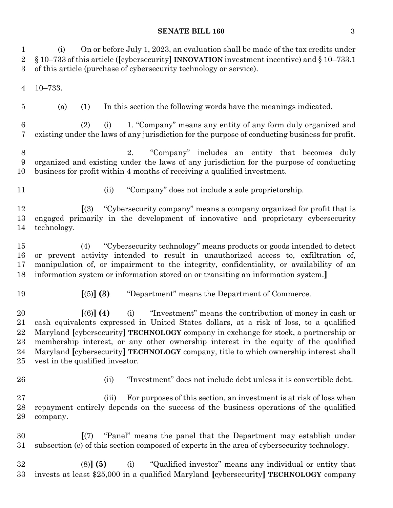(i) On or before July 1, 2023, an evaluation shall be made of the tax credits under

 § 10–733 of this article (**[**cybersecurity**] INNOVATION** investment incentive) and § 10–733.1 of this article (purchase of cybersecurity technology or service). 10–733. (a) (1) In this section the following words have the meanings indicated. (2) (i) 1. "Company" means any entity of any form duly organized and existing under the laws of any jurisdiction for the purpose of conducting business for profit. 2. "Company" includes an entity that becomes duly organized and existing under the laws of any jurisdiction for the purpose of conducting business for profit within 4 months of receiving a qualified investment. 11 (ii) "Company" does not include a sole proprietorship. **[**(3) "Cybersecurity company" means a company organized for profit that is engaged primarily in the development of innovative and proprietary cybersecurity technology. (4) "Cybersecurity technology" means products or goods intended to detect or prevent activity intended to result in unauthorized access to, exfiltration of, manipulation of, or impairment to the integrity, confidentiality, or availability of an information system or information stored on or transiting an information system.**] [**(5)**] (3)** "Department" means the Department of Commerce. **[**(6)**] (4)** (i) "Investment" means the contribution of money in cash or cash equivalents expressed in United States dollars, at a risk of loss, to a qualified Maryland **[**cybersecurity**] TECHNOLOGY** company in exchange for stock, a partnership or membership interest, or any other ownership interest in the equity of the qualified Maryland **[**cybersecurity**] TECHNOLOGY** company, title to which ownership interest shall vest in the qualified investor. (ii) "Investment" does not include debt unless it is convertible debt. (iii) For purposes of this section, an investment is at risk of loss when repayment entirely depends on the success of the business operations of the qualified company. **[**(7) "Panel" means the panel that the Department may establish under subsection (e) of this section composed of experts in the area of cybersecurity technology. (8)**] (5)** (i) "Qualified investor" means any individual or entity that invests at least \$25,000 in a qualified Maryland **[**cybersecurity**] TECHNOLOGY** company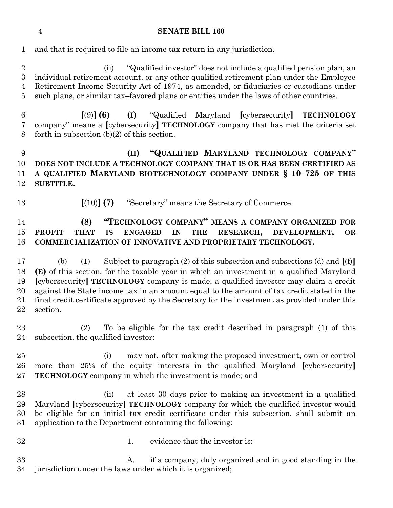and that is required to file an income tax return in any jurisdiction.

 (ii) "Qualified investor" does not include a qualified pension plan, an individual retirement account, or any other qualified retirement plan under the Employee Retirement Income Security Act of 1974, as amended, or fiduciaries or custodians under such plans, or similar tax–favored plans or entities under the laws of other countries.

 **[**(9)**] (6) (I)** "Qualified Maryland **[**cybersecurity**] TECHNOLOGY** company" means a **[**cybersecurity**] TECHNOLOGY** company that has met the criteria set forth in subsection (b)(2) of this section.

# **(II) "QUALIFIED MARYLAND TECHNOLOGY COMPANY" DOES NOT INCLUDE A TECHNOLOGY COMPANY THAT IS OR HAS BEEN CERTIFIED AS A QUALIFIED MARYLAND BIOTECHNOLOGY COMPANY UNDER § 10–725 OF THIS SUBTITLE.**

- 
- **[**(10)**] (7)** "Secretary" means the Secretary of Commerce.

# **(8) "TECHNOLOGY COMPANY" MEANS A COMPANY ORGANIZED FOR PROFIT THAT IS ENGAGED IN THE RESEARCH, DEVELOPMENT, OR COMMERCIALIZATION OF INNOVATIVE AND PROPRIETARY TECHNOLOGY.**

 (b) (1) Subject to paragraph (2) of this subsection and subsections (d) and **[**(f)**] (E)** of this section, for the taxable year in which an investment in a qualified Maryland **[**cybersecurity**] TECHNOLOGY** company is made, a qualified investor may claim a credit against the State income tax in an amount equal to the amount of tax credit stated in the final credit certificate approved by the Secretary for the investment as provided under this section.

 (2) To be eligible for the tax credit described in paragraph (1) of this subsection, the qualified investor:

 (i) may not, after making the proposed investment, own or control more than 25% of the equity interests in the qualified Maryland **[**cybersecurity**] TECHNOLOGY** company in which the investment is made; and

- (ii) at least 30 days prior to making an investment in a qualified Maryland **[**cybersecurity**] TECHNOLOGY** company for which the qualified investor would be eligible for an initial tax credit certificate under this subsection, shall submit an application to the Department containing the following:
- 32 1. evidence that the investor is:

 A. if a company, duly organized and in good standing in the jurisdiction under the laws under which it is organized;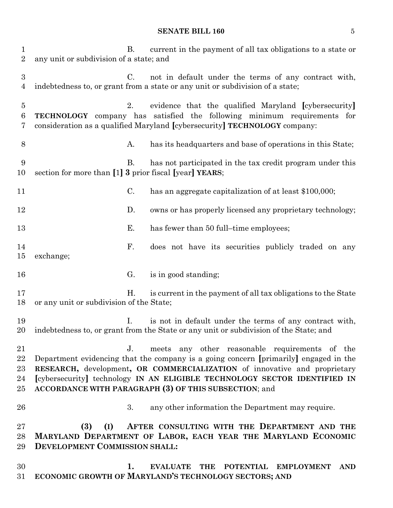| $\mathbf{1}$<br>$\overline{2}$     | current in the payment of all tax obligations to a state or<br>В.<br>any unit or subdivision of a state; and                                                                                                                                                                                                                                                             |
|------------------------------------|--------------------------------------------------------------------------------------------------------------------------------------------------------------------------------------------------------------------------------------------------------------------------------------------------------------------------------------------------------------------------|
| $\boldsymbol{3}$<br>$\overline{4}$ | not in default under the terms of any contract with,<br>$C_{\cdot}$<br>indebtedness to, or grant from a state or any unit or subdivision of a state;                                                                                                                                                                                                                     |
| $\overline{5}$<br>6<br>7           | evidence that the qualified Maryland [cybersecurity]<br>2.<br><b>TECHNOLOGY</b> company has satisfied the following minimum requirements for<br>consideration as a qualified Maryland [cybersecurity] TECHNOLOGY company:                                                                                                                                                |
| 8                                  | has its headquarters and base of operations in this State;<br>А.                                                                                                                                                                                                                                                                                                         |
| 9<br>10                            | Β.<br>has not participated in the tax credit program under this<br>section for more than [1] 3 prior fiscal [year] YEARS;                                                                                                                                                                                                                                                |
| 11                                 | C.<br>has an aggregate capitalization of at least \$100,000;                                                                                                                                                                                                                                                                                                             |
| 12                                 | D.<br>owns or has properly licensed any proprietary technology;                                                                                                                                                                                                                                                                                                          |
| 13                                 | Е.<br>has fewer than 50 full-time employees;                                                                                                                                                                                                                                                                                                                             |
| 14<br>15                           | F.<br>does not have its securities publicly traded on any<br>exchange;                                                                                                                                                                                                                                                                                                   |
| 16                                 | G.<br>is in good standing;                                                                                                                                                                                                                                                                                                                                               |
| 17<br>18                           | is current in the payment of all tax obligations to the State<br>Η.<br>or any unit or subdivision of the State;                                                                                                                                                                                                                                                          |
| 19<br>20                           | is not in default under the terms of any contract with,<br>I.<br>indebtedness to, or grant from the State or any unit or subdivision of the State; and                                                                                                                                                                                                                   |
| 21<br>22<br>23<br>24<br>$25\,$     | meets any other reasonable requirements of the<br>$J_{\cdot}$<br>Department evidencing that the company is a going concern [primarily] engaged in the<br>RESEARCH, development, OR COMMERCIALIZATION of innovative and proprietary<br>[cybersecurity] technology IN AN ELIGIBLE TECHNOLOGY SECTOR IDENTIFIED IN<br>ACCORDANCE WITH PARAGRAPH (3) OF THIS SUBSECTION; and |
| 26                                 | 3.<br>any other information the Department may require.                                                                                                                                                                                                                                                                                                                  |
| $27\,$<br>28<br>29                 | (3)<br>AFTER CONSULTING WITH THE DEPARTMENT AND THE<br>(I)<br>MARYLAND DEPARTMENT OF LABOR, EACH YEAR THE MARYLAND ECONOMIC<br><b>DEVELOPMENT COMMISSION SHALL:</b>                                                                                                                                                                                                      |
| 30<br>$31\,$                       | 1.<br><b>EVALUATE</b><br><b>THE</b><br><b>POTENTIAL</b><br><b>EMPLOYMENT</b><br><b>AND</b><br>ECONOMIC GROWTH OF MARYLAND'S TECHNOLOGY SECTORS; AND                                                                                                                                                                                                                      |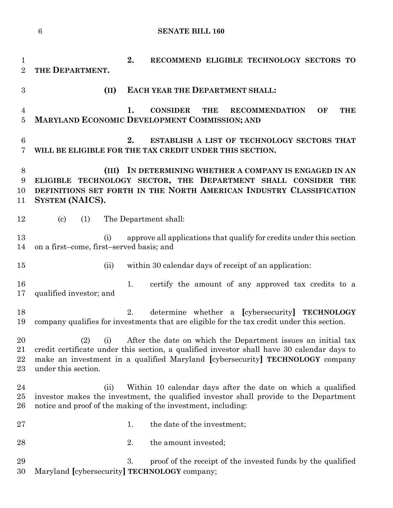```
1 2. RECOMMEND ELIGIBLE TECHNOLOGY SECTORS TO 
2 THE DEPARTMENT.
3 (II) EACH YEAR THE DEPARTMENT SHALL:
4 1. CONSIDER THE RECOMMENDATION OF THE 
5 MARYLAND ECONOMIC DEVELOPMENT COMMISSION; AND
6 2. ESTABLISH A LIST OF TECHNOLOGY SECTORS THAT 
7 WILL BE ELIGIBLE FOR THE TAX CREDIT UNDER THIS SECTION.
8 (III) IN DETERMINING WHETHER A COMPANY IS ENGAGED IN AN 
9 ELIGIBLE TECHNOLOGY SECTOR, THE DEPARTMENT SHALL CONSIDER THE 
10 DEFINITIONS SET FORTH IN THE NORTH AMERICAN INDUSTRY CLASSIFICATION 
11 SYSTEM (NAICS).
12 (c) (1) The Department shall:
13 (i) approve all applications that qualify for credits under this section
14 on a first–come, first–served basis; and
15 (ii) within 30 calendar days of receipt of an application:
16 16 1. certify the amount of any approved tax credits to a
17 qualified investor; and
18 2. determine whether a [cybersecurity] TECHNOLOGY
19 company qualifies for investments that are eligible for the tax credit under this section.
20 (2) (i) After the date on which the Department issues an initial tax 
21 credit certificate under this section, a qualified investor shall have 30 calendar days to 
22 make an investment in a qualified Maryland [cybersecurity] TECHNOLOGY company 
23 under this section.
24 (ii) Within 10 calendar days after the date on which a qualified 
25 investor makes the investment, the qualified investor shall provide to the Department 
26 notice and proof of the making of the investment, including:
27 1. the date of the investment;
28 2. the amount invested;
29 3. proof of the receipt of the invested funds by the qualified
```
Maryland **[**cybersecurity**] TECHNOLOGY** company;

**SENATE BILL 160**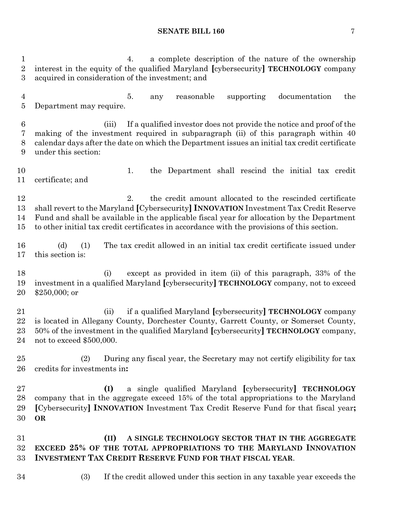4. a complete description of the nature of the ownership interest in the equity of the qualified Maryland **[**cybersecurity**] TECHNOLOGY** company acquired in consideration of the investment; and 5. any reasonable supporting documentation the Department may require. (iii) If a qualified investor does not provide the notice and proof of the making of the investment required in subparagraph (ii) of this paragraph within 40 calendar days after the date on which the Department issues an initial tax credit certificate under this section: 1. the Department shall rescind the initial tax credit certificate; and 12 2. the credit amount allocated to the rescinded certificate shall revert to the Maryland **[**Cybersecurity**] INNOVATION** Investment Tax Credit Reserve Fund and shall be available in the applicable fiscal year for allocation by the Department to other initial tax credit certificates in accordance with the provisions of this section. (d) (1) The tax credit allowed in an initial tax credit certificate issued under this section is: (i) except as provided in item (ii) of this paragraph, 33% of the investment in a qualified Maryland **[**cybersecurity**] TECHNOLOGY** company, not to exceed \$250,000; or (ii) if a qualified Maryland **[**cybersecurity**] TECHNOLOGY** company is located in Allegany County, Dorchester County, Garrett County, or Somerset County, 50% of the investment in the qualified Maryland **[**cybersecurity**] TECHNOLOGY** company, not to exceed \$500,000. (2) During any fiscal year, the Secretary may not certify eligibility for tax credits for investments in**: (I)** a single qualified Maryland **[**cybersecurity**] TECHNOLOGY** company that in the aggregate exceed 15% of the total appropriations to the Maryland **[**Cybersecurity**] INNOVATION** Investment Tax Credit Reserve Fund for that fiscal year**; OR (II) A SINGLE TECHNOLOGY SECTOR THAT IN THE AGGREGATE EXCEED 25% OF THE TOTAL APPROPRIATIONS TO THE MARYLAND INNOVATION INVESTMENT TAX CREDIT RESERVE FUND FOR THAT FISCAL YEAR**. (3) If the credit allowed under this section in any taxable year exceeds the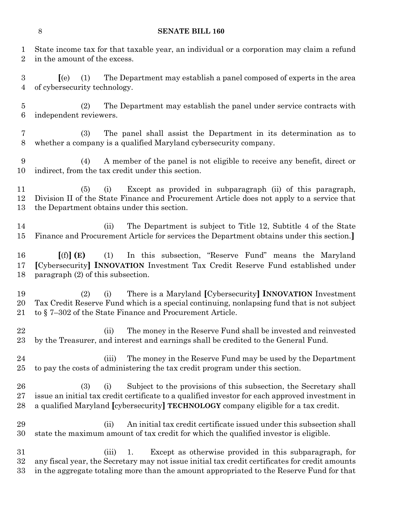State income tax for that taxable year, an individual or a corporation may claim a refund

in the amount of the excess.

 **[**(e) (1) The Department may establish a panel composed of experts in the area of cybersecurity technology. (2) The Department may establish the panel under service contracts with independent reviewers. (3) The panel shall assist the Department in its determination as to whether a company is a qualified Maryland cybersecurity company. (4) A member of the panel is not eligible to receive any benefit, direct or indirect, from the tax credit under this section. (5) (i) Except as provided in subparagraph (ii) of this paragraph, Division II of the State Finance and Procurement Article does not apply to a service that the Department obtains under this section. (ii) The Department is subject to Title 12, Subtitle 4 of the State Finance and Procurement Article for services the Department obtains under this section.**] [**(f)**] (E)** (1) In this subsection, "Reserve Fund" means the Maryland **[**Cybersecurity**] INNOVATION** Investment Tax Credit Reserve Fund established under paragraph (2) of this subsection. (2) (i) There is a Maryland **[**Cybersecurity**] INNOVATION** Investment Tax Credit Reserve Fund which is a special continuing, nonlapsing fund that is not subject to § 7–302 of the State Finance and Procurement Article. 22 (ii) The money in the Reserve Fund shall be invested and reinvested by the Treasurer, and interest and earnings shall be credited to the General Fund. (iii) The money in the Reserve Fund may be used by the Department to pay the costs of administering the tax credit program under this section. (3) (i) Subject to the provisions of this subsection, the Secretary shall issue an initial tax credit certificate to a qualified investor for each approved investment in a qualified Maryland **[**cybersecurity**] TECHNOLOGY** company eligible for a tax credit. (ii) An initial tax credit certificate issued under this subsection shall state the maximum amount of tax credit for which the qualified investor is eligible. (iii) 1. Except as otherwise provided in this subparagraph, for

 any fiscal year, the Secretary may not issue initial tax credit certificates for credit amounts in the aggregate totaling more than the amount appropriated to the Reserve Fund for that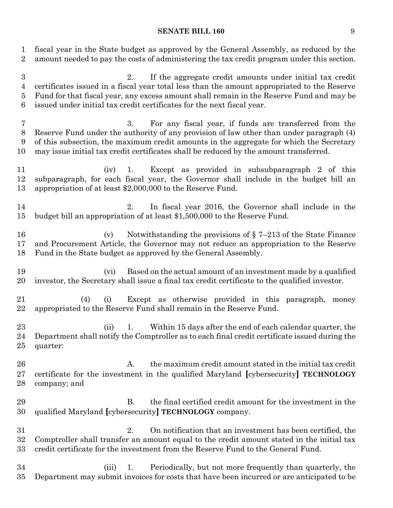fiscal year in the State budget as approved by the General Assembly, as reduced by the amount needed to pay the costs of administering the tax credit program under this section.

 2. If the aggregate credit amounts under initial tax credit certificates issued in a fiscal year total less than the amount appropriated to the Reserve Fund for that fiscal year, any excess amount shall remain in the Reserve Fund and may be issued under initial tax credit certificates for the next fiscal year.

 3. For any fiscal year, if funds are transferred from the Reserve Fund under the authority of any provision of law other than under paragraph (4) of this subsection, the maximum credit amounts in the aggregate for which the Secretary may issue initial tax credit certificates shall be reduced by the amount transferred.

 (iv) 1. Except as provided in subsubparagraph 2 of this subparagraph, for each fiscal year, the Governor shall include in the budget bill an appropriation of at least \$2,000,000 to the Reserve Fund.

 2. In fiscal year 2016, the Governor shall include in the budget bill an appropriation of at least \$1,500,000 to the Reserve Fund.

 (v) Notwithstanding the provisions of § 7–213 of the State Finance and Procurement Article, the Governor may not reduce an appropriation to the Reserve Fund in the State budget as approved by the General Assembly.

 (vi) Based on the actual amount of an investment made by a qualified investor, the Secretary shall issue a final tax credit certificate to the qualified investor.

 (4) (i) Except as otherwise provided in this paragraph, money appropriated to the Reserve Fund shall remain in the Reserve Fund.

23 (ii) 1. Within 15 days after the end of each calendar quarter, the Department shall notify the Comptroller as to each final credit certificate issued during the quarter:

26 26 A. the maximum credit amount stated in the initial tax credit certificate for the investment in the qualified Maryland **[**cybersecurity**] TECHNOLOGY** company; and

 B. the final certified credit amount for the investment in the qualified Maryland **[**cybersecurity**] TECHNOLOGY** company.

 2. On notification that an investment has been certified, the Comptroller shall transfer an amount equal to the credit amount stated in the initial tax credit certificate for the investment from the Reserve Fund to the General Fund.

 (iii) 1. Periodically, but not more frequently than quarterly, the Department may submit invoices for costs that have been incurred or are anticipated to be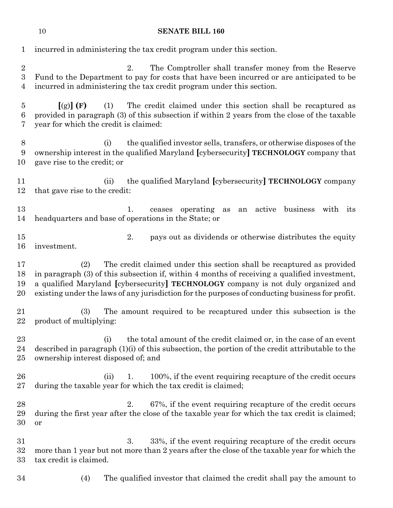| 1                                       | incurred in administering the tax credit program under this section.                                                                                                                                                                                                                                                                                                 |  |  |
|-----------------------------------------|----------------------------------------------------------------------------------------------------------------------------------------------------------------------------------------------------------------------------------------------------------------------------------------------------------------------------------------------------------------------|--|--|
| $\boldsymbol{2}$<br>3<br>4              | 2.<br>The Comptroller shall transfer money from the Reserve<br>Fund to the Department to pay for costs that have been incurred or are anticipated to be<br>incurred in administering the tax credit program under this section.                                                                                                                                      |  |  |
| $\overline{5}$<br>$\boldsymbol{6}$<br>7 | The credit claimed under this section shall be recaptured as<br>[(g)](F)<br>(1)<br>provided in paragraph (3) of this subsection if within 2 years from the close of the taxable<br>year for which the credit is claimed:                                                                                                                                             |  |  |
| $8\,$<br>9<br>10                        | (i)<br>the qualified investor sells, transfers, or otherwise disposes of the<br>ownership interest in the qualified Maryland [cybersecurity] TECHNOLOGY company that<br>gave rise to the credit; or                                                                                                                                                                  |  |  |
| 11<br>12                                | the qualified Maryland [cybersecurity] TECHNOLOGY company<br>(ii)<br>that gave rise to the credit:                                                                                                                                                                                                                                                                   |  |  |
| 13<br>14                                | operating<br>active business<br>with its<br>1.<br>ceases<br>as<br>an<br>headquarters and base of operations in the State; or                                                                                                                                                                                                                                         |  |  |
| 15<br>16                                | 2.<br>pays out as dividends or otherwise distributes the equity<br>investment.                                                                                                                                                                                                                                                                                       |  |  |
| 17<br>18<br>19<br>20                    | The credit claimed under this section shall be recaptured as provided<br>(2)<br>in paragraph (3) of this subsection if, within 4 months of receiving a qualified investment,<br>a qualified Maryland [cybersecurity] TECHNOLOGY company is not duly organized and<br>existing under the laws of any jurisdiction for the purposes of conducting business for profit. |  |  |
| 21<br>22                                | The amount required to be recaptured under this subsection is the<br>(3)<br>product of multiplying:                                                                                                                                                                                                                                                                  |  |  |
| 23<br>24<br>25                          | the total amount of the credit claimed or, in the case of an event<br>(i)<br>described in paragraph (1)(i) of this subsection, the portion of the credit attributable to the<br>ownership interest disposed of; and                                                                                                                                                  |  |  |
| 26<br>27                                | 100%, if the event requiring recapture of the credit occurs<br>(ii)<br>1.<br>during the taxable year for which the tax credit is claimed;                                                                                                                                                                                                                            |  |  |
| 28<br>29<br>30                          | 67%, if the event requiring recapture of the credit occurs<br>2.<br>during the first year after the close of the taxable year for which the tax credit is claimed;<br>or                                                                                                                                                                                             |  |  |
| 31<br>32<br>33                          | 33%, if the event requiring recapture of the credit occurs<br>3.<br>more than 1 year but not more than 2 years after the close of the taxable year for which the<br>tax credit is claimed.                                                                                                                                                                           |  |  |
| 34                                      | The qualified investor that claimed the credit shall pay the amount to<br>(4)                                                                                                                                                                                                                                                                                        |  |  |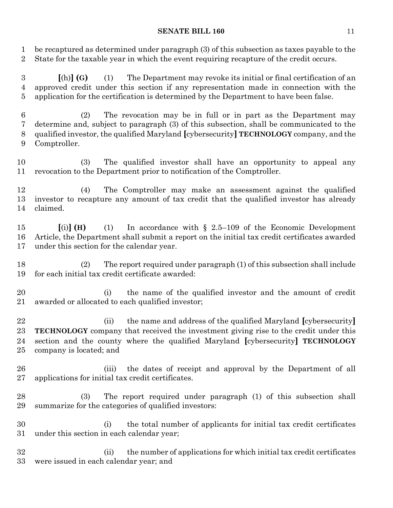be recaptured as determined under paragraph (3) of this subsection as taxes payable to the State for the taxable year in which the event requiring recapture of the credit occurs.

 **[**(h)**] (G)** (1) The Department may revoke its initial or final certification of an approved credit under this section if any representation made in connection with the application for the certification is determined by the Department to have been false.

 (2) The revocation may be in full or in part as the Department may determine and, subject to paragraph (3) of this subsection, shall be communicated to the qualified investor, the qualified Maryland **[**cybersecurity**] TECHNOLOGY** company, and the Comptroller.

 (3) The qualified investor shall have an opportunity to appeal any revocation to the Department prior to notification of the Comptroller.

 (4) The Comptroller may make an assessment against the qualified investor to recapture any amount of tax credit that the qualified investor has already claimed.

 **[**(i)**] (H)** (1) In accordance with § 2.5–109 of the Economic Development Article, the Department shall submit a report on the initial tax credit certificates awarded under this section for the calendar year.

 (2) The report required under paragraph (1) of this subsection shall include for each initial tax credit certificate awarded:

 (i) the name of the qualified investor and the amount of credit awarded or allocated to each qualified investor;

 (ii) the name and address of the qualified Maryland **[**cybersecurity**] TECHNOLOGY** company that received the investment giving rise to the credit under this section and the county where the qualified Maryland **[**cybersecurity**] TECHNOLOGY** company is located; and

- (iii) the dates of receipt and approval by the Department of all applications for initial tax credit certificates.
- (3) The report required under paragraph (1) of this subsection shall summarize for the categories of qualified investors:
- (i) the total number of applicants for initial tax credit certificates under this section in each calendar year;

 (ii) the number of applications for which initial tax credit certificates were issued in each calendar year; and